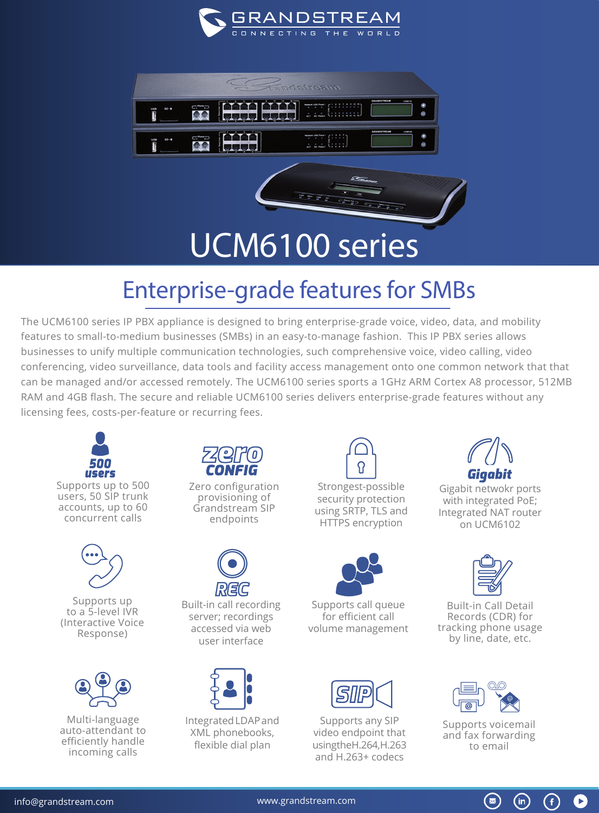



## Enterprise-grade features for SMBs

The UCM6100 series IP PBX appliance is designed to bring enterprise-grade voice, video, data, and mobility features to small-to-medium businesses (SMBs) in an easy-to-manage fashion. This IP PBX series allows businesses to unify multiple communication technologies, such comprehensive voice, video calling, video conferencing, video surveillance, data tools and facility access management onto one common network that that can be managed and/or accessed remotely. The UCM6100 series sports a 1GHz ARM Cortex A8 processor, 512MB RAM and 4GB flash. The secure and reliable UCM6100 series delivers enterprise-grade features without any licensing fees, costs-per-feature or recurring fees.



Supports up to a 5-level IVR (Interactive Voice Response)



Multi-language auto-attendant to efficiently handle incoming calls



Zero configuration provisioning of Grandstream SIP endpoints



Built-in call recording server; recordings accessed via web user interface



Integrated LDAP and XML phonebooks, flexible dial plan



Strongest-possible security protection using SRTP, TLS and HTTPS encryption



Supports call queue for efficient call volume management



Supports any SIP video endpoint that using the H.264, H.263 and H.263+ codecs



Gigabit netwokr ports with integrated PoE; Integrated NAT router on UCM6102



Built-in Call Detail Records (CDR) for tracking phone usage by line, date, etc.



Supports voicemail and fax forwarding to email

 $\circledast$ 

G

 $(in)$